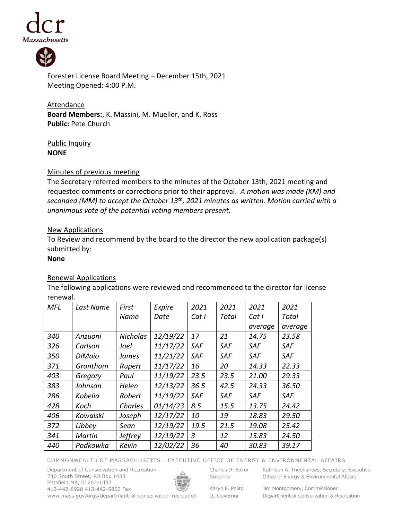



Forester License Board Meeting – December 15th, 2021 Meeting Opened: 4:00 P.M.

**Attendance Board Members:**, K. Massini, M. Mueller, and K. Ross **Public:** Pete Church

Public Inquiry **NONE**

### Minutes of previous meeting

The Secretary referred members to the minutes of the October 13th, 2021 meeting and requested comments or corrections prior to their approval. *A motion was made (KM) and seconded (MM) to accept the October 13th , 2021 minutes as written. Motion carried with a unanimous vote of the potential voting members present.*

## New Applications

To Review and recommend by the board to the director the new application package(s) submitted by:

#### **None**

# Renewal Applications

The following applications were reviewed and recommended to the director for license renewal.

| MFL | Last Name | First           | Expire   | 2021           | 2021       | 2021       | 2021       |
|-----|-----------|-----------------|----------|----------------|------------|------------|------------|
|     |           | Name            | Date     | Cat I          | Total      | Cat I      | Total      |
|     |           |                 |          |                |            | average    | average    |
| 340 | Anzuoni   | <b>Nicholas</b> | 12/19/22 | 17             | 21         | 14.75      | 23.58      |
| 326 | Carlson   | Joel            | 11/17/22 | <b>SAF</b>     | <b>SAF</b> | <b>SAF</b> | <b>SAF</b> |
| 350 | DiMaio    | James           | 11/21/22 | SAF            | SAF        | <b>SAF</b> | SAF        |
| 371 | Grantham  | Rupert          | 11/17/22 | 16             | 20         | 14.33      | 22.33      |
| 403 | Gregory   | Paul            | 11/19/22 | 23.5           | 23.5       | 21.00      | 29.33      |
| 383 | Johnson   | Helen           | 12/13/22 | 36.5           | 42.5       | 24.33      | 36.50      |
| 286 | Kobelia   | Robert          | 11/19/22 | <b>SAF</b>     | SAF        | <b>SAF</b> | <b>SAF</b> |
| 428 | Koch      | Charles         | 01/14/23 | 8.5            | 15.5       | 13.75      | 24.42      |
| 406 | Kowalski  | Joseph          | 12/17/22 | 10             | 19         | 18.83      | 29.50      |
| 372 | Libbey    | Sean            | 12/19/22 | 19.5           | 21.5       | 19.08      | 25.42      |
| 341 | Martin    | Jeffrey         | 12/19/22 | $\overline{3}$ | 12         | 15.83      | 24.50      |
| 440 | Podkowka  | Kevin           | 12/02/22 | 36             | 40         | 30.83      | 39.17      |

#### COMMONWEALTH OF MASSACHUSETTS · EXECUTIVE OFFICE OF ENERGY & ENVIRONMENTAL AFFAIRS

Department of Conservation and Recreation 740 South Street, PO Box 1433 Pittsfield MA, 01202-1433 413-442-8928 413-442-5860 Fax www.mass.gov/orgs/department-of-conservation-recreation



Charles D. Baker Governor

Kathleen A. Theoharides, Secretary, Executive Office of Energy & Environmental Affairs

Karyn E. Polito Lt. Governor

Jim Montgomery, Commissioner Department of Conservation & Recreation